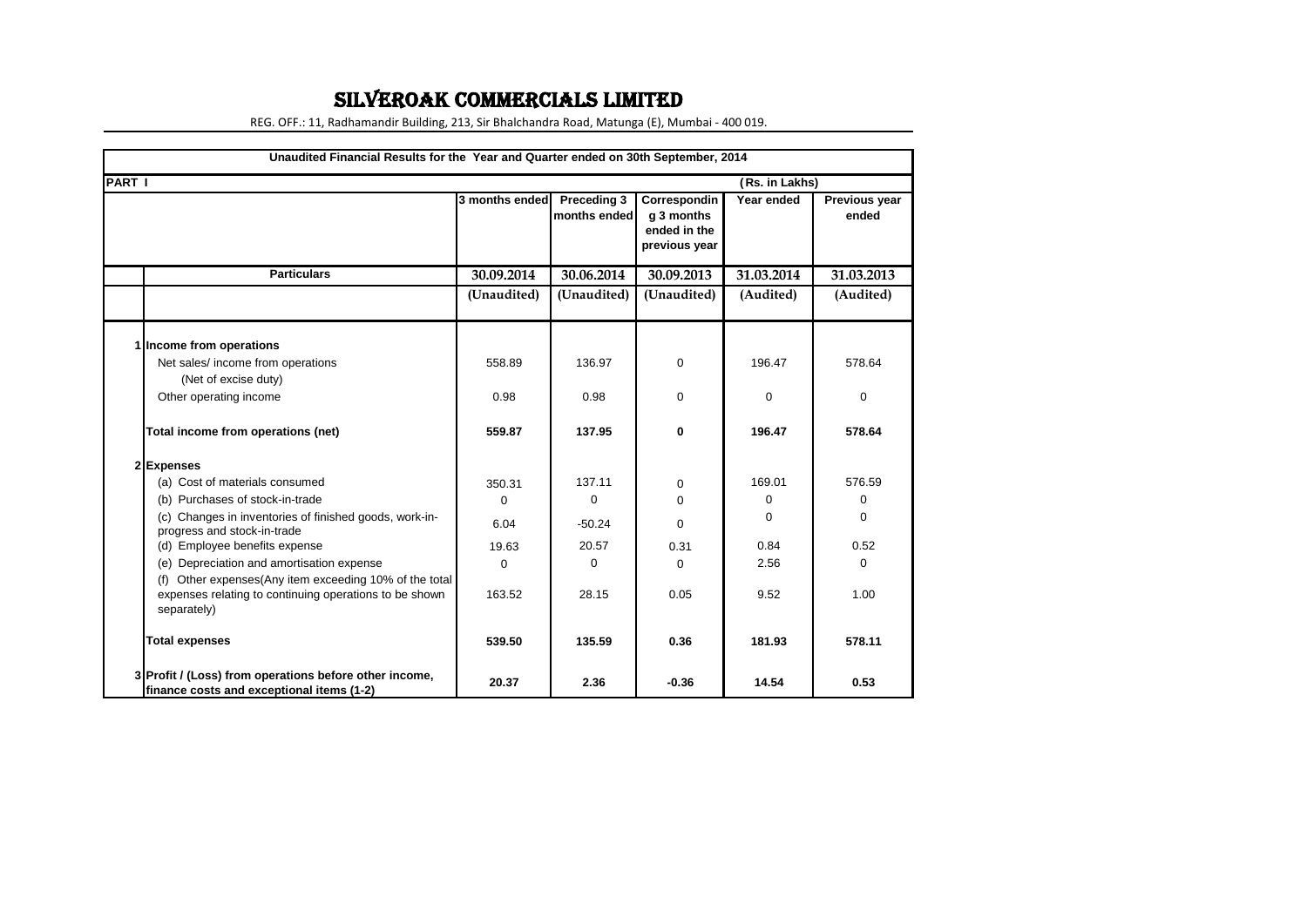## SILVEROAK COMMERCIALS LIMITED

REG. OFF.: 11, Radhamandir Building, 213, Sir Bhalchandra Road, Matunga (E), Mumbai - 400 019.

| Unaudited Financial Results for the Year and Quarter ended on 30th September, 2014                                              |                |                             |                                                             |                |                        |
|---------------------------------------------------------------------------------------------------------------------------------|----------------|-----------------------------|-------------------------------------------------------------|----------------|------------------------|
| <b>PART I</b>                                                                                                                   |                |                             |                                                             | (Rs. in Lakhs) |                        |
|                                                                                                                                 | 3 months ended | Preceding 3<br>months ended | Correspondin<br>g 3 months<br>ended in the<br>previous year | Year ended     | Previous year<br>ended |
| <b>Particulars</b>                                                                                                              | 30.09.2014     | 30.06.2014                  | 30.09.2013                                                  | 31.03.2014     | 31.03.2013             |
|                                                                                                                                 | (Unaudited)    | (Unaudited)                 | (Unaudited)                                                 | (Audited)      | (Audited)              |
| 1 Income from operations                                                                                                        |                |                             |                                                             |                |                        |
| Net sales/ income from operations<br>(Net of excise duty)                                                                       | 558.89         | 136.97                      | $\Omega$                                                    | 196.47         | 578.64                 |
| Other operating income                                                                                                          | 0.98           | 0.98                        | $\Omega$                                                    | $\Omega$       | $\mathbf 0$            |
| Total income from operations (net)                                                                                              | 559.87         | 137.95                      | $\bf{0}$                                                    | 196.47         | 578.64                 |
| 2 Expenses                                                                                                                      |                |                             |                                                             |                |                        |
| (a) Cost of materials consumed                                                                                                  | 350.31         | 137.11                      | 0                                                           | 169.01         | 576.59                 |
| (b) Purchases of stock-in-trade                                                                                                 | $\mathbf 0$    | $\mathbf 0$                 | $\Omega$                                                    | $\Omega$       | 0                      |
| (c) Changes in inventories of finished goods, work-in-<br>progress and stock-in-trade                                           | 6.04           | $-50.24$                    | $\Omega$                                                    | 0              | $\Omega$               |
| (d) Employee benefits expense                                                                                                   | 19.63          | 20.57                       | 0.31                                                        | 0.84           | 0.52                   |
| (e) Depreciation and amortisation expense                                                                                       | 0              | $\Omega$                    | 0                                                           | 2.56           | $\Omega$               |
| (f) Other expenses(Any item exceeding 10% of the total<br>expenses relating to continuing operations to be shown<br>separately) | 163.52         | 28.15                       | 0.05                                                        | 9.52           | 1.00                   |
| <b>Total expenses</b>                                                                                                           | 539.50         | 135.59                      | 0.36                                                        | 181.93         | 578.11                 |
| 3 Profit / (Loss) from operations before other income,<br>finance costs and exceptional items (1-2)                             | 20.37          | 2.36                        | $-0.36$                                                     | 14.54          | 0.53                   |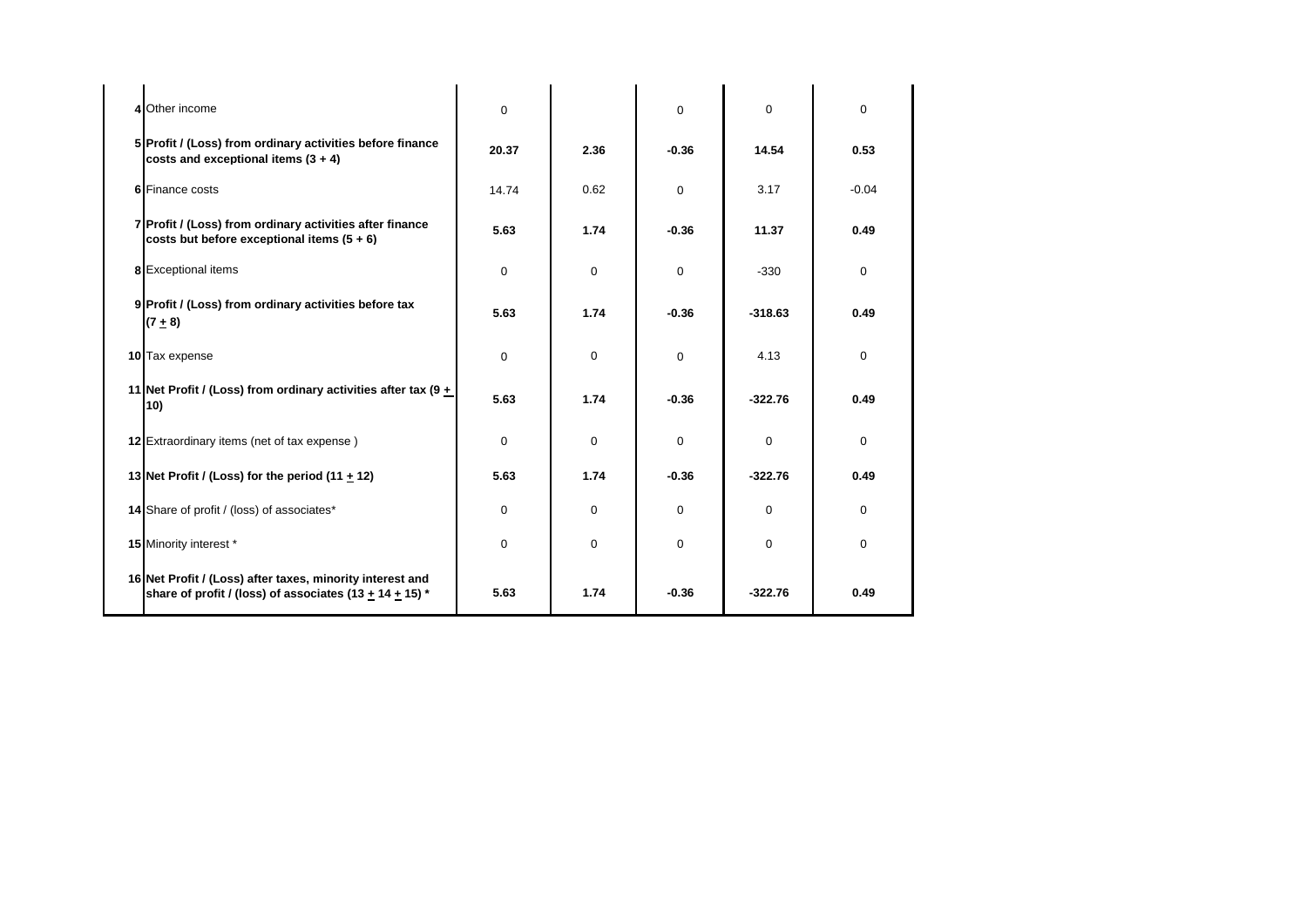| 4 Other income                                                                                                               | 0        |          | $\mathbf 0$ | $\mathbf 0$ | $\Omega$ |
|------------------------------------------------------------------------------------------------------------------------------|----------|----------|-------------|-------------|----------|
| 5 Profit / (Loss) from ordinary activities before finance<br>costs and exceptional items $(3 + 4)$                           | 20.37    | 2.36     | $-0.36$     | 14.54       | 0.53     |
| <b>6</b> Finance costs                                                                                                       | 14.74    | 0.62     | $\Omega$    | 3.17        | $-0.04$  |
| 7 Profit / (Loss) from ordinary activities after finance<br>costs but before exceptional items $(5 + 6)$                     | 5.63     | 1.74     | $-0.36$     | 11.37       | 0.49     |
| 8 Exceptional items                                                                                                          | 0        | $\Omega$ | 0           | $-330$      | $\Omega$ |
| 9 Profit / (Loss) from ordinary activities before tax<br>$(7 + 8)$                                                           | 5.63     | 1.74     | $-0.36$     | $-318.63$   | 0.49     |
| 10 Tax expense                                                                                                               | $\Omega$ | $\Omega$ | $\Omega$    | 4.13        | $\Omega$ |
| 11 Net Profit / (Loss) from ordinary activities after tax (9 +<br>10)                                                        | 5.63     | 1.74     | $-0.36$     | $-322.76$   | 0.49     |
| 12 Extraordinary items (net of tax expense)                                                                                  | $\Omega$ | $\Omega$ | $\Omega$    | 0           | $\Omega$ |
| 13 Net Profit / (Loss) for the period (11 $\pm$ 12)                                                                          | 5.63     | 1.74     | $-0.36$     | $-322.76$   | 0.49     |
| 14 Share of profit / (loss) of associates*                                                                                   | 0        | $\Omega$ | 0           | $\mathbf 0$ | $\Omega$ |
| 15 Minority interest *                                                                                                       | $\Omega$ | $\Omega$ | 0           | 0           | $\Omega$ |
| 16 Net Profit / (Loss) after taxes, minority interest and<br>share of profit / (loss) of associates (13 $\pm$ 14 $\pm$ 15) * | 5.63     | 1.74     | $-0.36$     | $-322.76$   | 0.49     |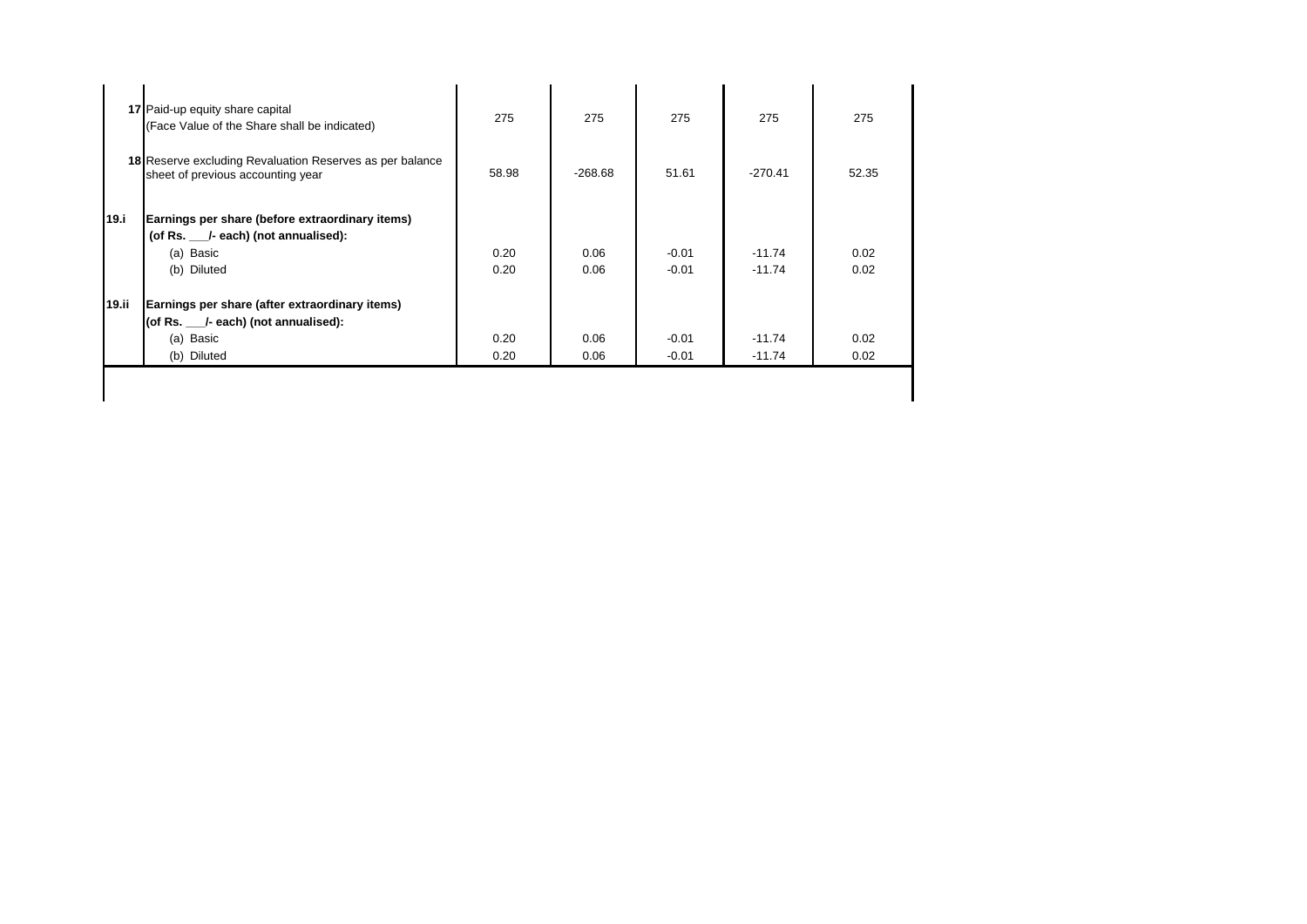| 17 Paid-up equity share capital<br>(Face Value of the Share shall be indicated)                                  | 275          | 275          | 275                | 275                  | 275          |
|------------------------------------------------------------------------------------------------------------------|--------------|--------------|--------------------|----------------------|--------------|
| <b>18</b> Reserve excluding Revaluation Reserves as per balance<br>sheet of previous accounting year             | 58.98        | $-268.68$    | 51.61              | $-270.41$            | 52.35        |
| Earnings per share (before extraordinary items)<br>(of Rs. 1-each) (not annualised):<br>(a) Basic<br>(b) Diluted | 0.20<br>0.20 | 0.06<br>0.06 | $-0.01$<br>$-0.01$ | $-11.74$<br>$-11.74$ | 0.02<br>0.02 |
| Earnings per share (after extraordinary items)<br>(of Rs. 1-each) (not annualised):<br>(a) Basic                 | 0.20         | 0.06         | $-0.01$            | $-11.74$             | 0.02<br>0.02 |
|                                                                                                                  | (b) Diluted  | 0.20         | 0.06               | $-0.01$              | $-11.74$     |